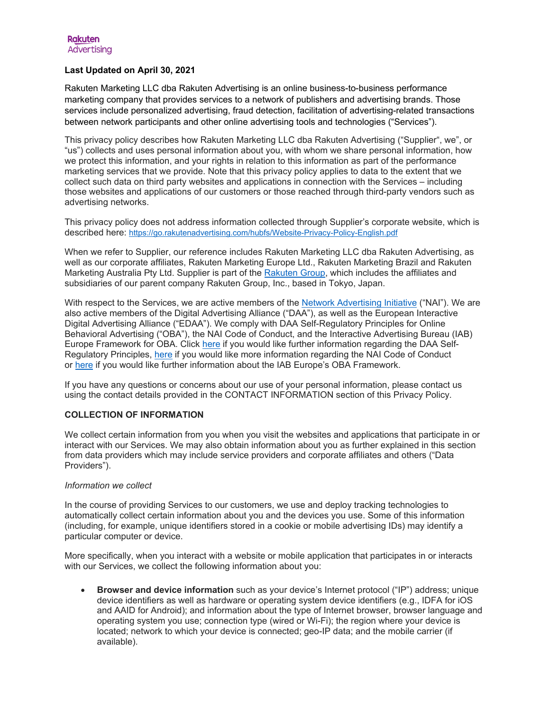## **Last Updated on April 30, 2021**

Rakuten Marketing LLC dba Rakuten Advertising is an online business-to-business performance marketing company that provides services to a network of publishers and advertising brands. Those services include personalized advertising, fraud detection, facilitation of advertising-related transactions between network participants and other online advertising tools and technologies ("Services").

This privacy policy describes how Rakuten Marketing LLC dba Rakuten Advertising ("Supplier", we", or "us") collects and uses personal information about you, with whom we share personal information, how we protect this information, and your rights in relation to this information as part of the performance marketing services that we provide. Note that this privacy policy applies to data to the extent that we collect such data on third party websites and applications in connection with the Services – including those websites and applications of our customers or those reached through third-party vendors such as advertising networks.

This privacy policy does not address information collected through Supplier's corporate website, which is described here:<https://go.rakutenadvertising.com/hubfs/Website-Privacy-Policy-English.pdf>

When we refer to Supplier, our reference includes Rakuten Marketing LLC dba Rakuten Advertising, as well as our corporate affiliates, Rakuten Marketing Europe Ltd., Rakuten Marketing Brazil and Rakuten Marketing Australia Pty Ltd. Supplier is part of the [Rakuten Group,](https://global.rakuten.com/corp/about/company/?__hstc=66411697.2000d2aee367cbd649b7c7f54604bc40.1581437623902.1583254614558.1583266045049.16&__hssc=66411697.4.1583266045049&__hsfp=753175602) which includes the affiliates and subsidiaries of our parent company Rakuten Group, Inc., based in Tokyo, Japan.

With respect to the Services, we are active members of the [Network Advertising Initiative](http://www.networkadvertising.org/) ("NAI"). We are also active members of the Digital Advertising Alliance ("DAA"), as well as the European Interactive Digital Advertising Alliance ("EDAA"). We comply with DAA Self-Regulatory Principles for Online Behavioral Advertising ("OBA"), the NAI Code of Conduct, and the Interactive Advertising Bureau (IAB) Europe Framework for OBA. Click [here](http://www.aboutads.info/) if you would like further information regarding the DAA Self-Regulatory Principles, [here](http://www.networkadvertising.org/sites/default/files/NAI_Code15encr.pdf) if you would like more information regarding the NAI Code of Conduct or [here](http://www.edaa.eu/european-principles/) if you would like further information about the IAB Europe's OBA Framework.

If you have any questions or concerns about our use of your personal information, please contact us using the contact details provided in the CONTACT INFORMATION section of this Privacy Policy.

# **COLLECTION OF INFORMATION**

We collect certain information from you when you visit the websites and applications that participate in or interact with our Services. We may also obtain information about you as further explained in this section from data providers which may include service providers and corporate affiliates and others ("Data Providers").

### *Information we collect*

In the course of providing Services to our customers, we use and deploy tracking technologies to automatically collect certain information about you and the devices you use. Some of this information (including, for example, unique identifiers stored in a cookie or mobile advertising IDs) may identify a particular computer or device.

More specifically, when you interact with a website or mobile application that participates in or interacts with our Services, we collect the following information about you:

• **Browser and device information** such as your device's Internet protocol ("IP") address; unique device identifiers as well as hardware or operating system device identifiers (e.g., IDFA for iOS and AAID for Android); and information about the type of Internet browser, browser language and operating system you use; connection type (wired or Wi-Fi); the region where your device is located; network to which your device is connected; geo-IP data; and the mobile carrier (if available).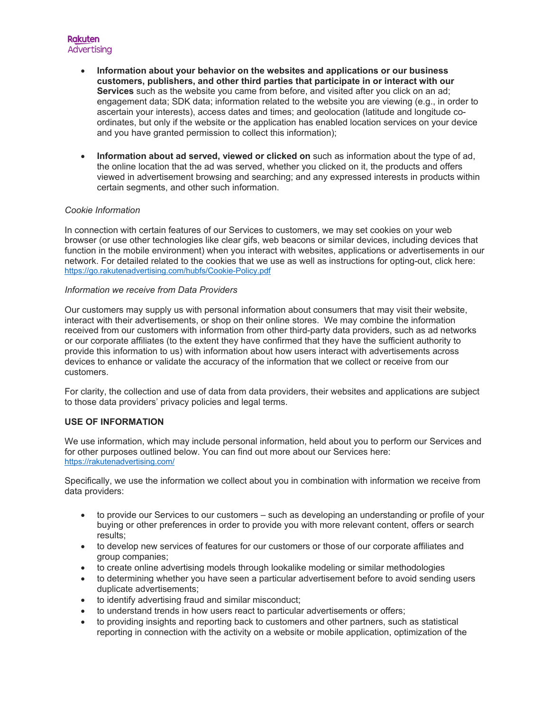- **Information about your behavior on the websites and applications or our business customers, publishers, and other third parties that participate in or interact with our Services** such as the website you came from before, and visited after you click on an ad; engagement data; SDK data; information related to the website you are viewing (e.g., in order to ascertain your interests), access dates and times; and geolocation (latitude and longitude coordinates, but only if the website or the application has enabled location services on your device and you have granted permission to collect this information);
- **Information about ad served, viewed or clicked on** such as information about the type of ad, the online location that the ad was served, whether you clicked on it, the products and offers viewed in advertisement browsing and searching; and any expressed interests in products within certain segments, and other such information.

## *Cookie Information*

In connection with certain features of our Services to customers, we may set cookies on your web browser (or use other technologies like clear gifs, web beacons or similar devices, including devices that function in the mobile environment) when you interact with websites, applications or advertisements in our network. For detailed related to the cookies that we use as well as instructions for opting-out, click here: <https://go.rakutenadvertising.com/hubfs/Cookie-Policy.pdf>

### *Information we receive from Data Providers*

Our customers may supply us with personal information about consumers that may visit their website, interact with their advertisements, or shop on their online stores. We may combine the information received from our customers with information from other third-party data providers, such as ad networks or our corporate affiliates (to the extent they have confirmed that they have the sufficient authority to provide this information to us) with information about how users interact with advertisements across devices to enhance or validate the accuracy of the information that we collect or receive from our customers.

For clarity, the collection and use of data from data providers, their websites and applications are subject to those data providers' privacy policies and legal terms.

### **USE OF INFORMATION**

We use information, which may include personal information, held about you to perform our Services and for other purposes outlined below. You can find out more about our Services here: <https://rakutenadvertising.com/>

Specifically, we use the information we collect about you in combination with information we receive from data providers:

- to provide our Services to our customers such as developing an understanding or profile of your buying or other preferences in order to provide you with more relevant content, offers or search results;
- to develop new services of features for our customers or those of our corporate affiliates and group companies;
- to create online advertising models through lookalike modeling or similar methodologies
- to determining whether you have seen a particular advertisement before to avoid sending users duplicate advertisements;
- to identify advertising fraud and similar misconduct;
- to understand trends in how users react to particular advertisements or offers;
- to providing insights and reporting back to customers and other partners, such as statistical reporting in connection with the activity on a website or mobile application, optimization of the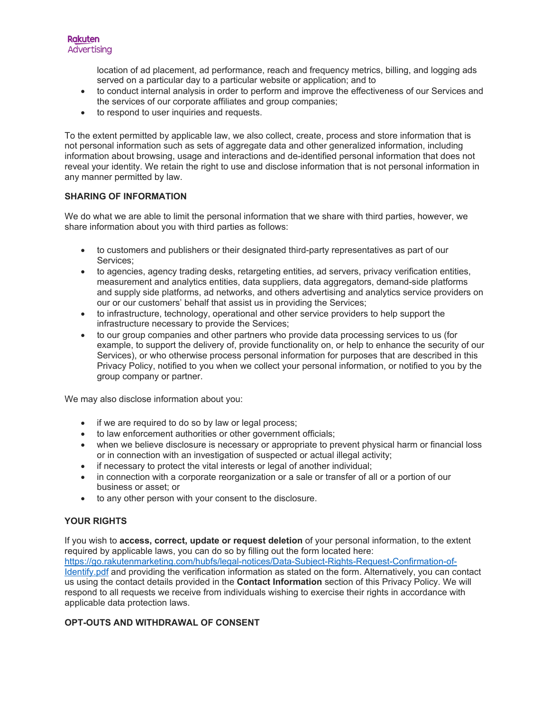location of ad placement, ad performance, reach and frequency metrics, billing, and logging ads served on a particular day to a particular website or application; and to

- to conduct internal analysis in order to perform and improve the effectiveness of our Services and the services of our corporate affiliates and group companies;
- to respond to user inquiries and requests.

To the extent permitted by applicable law, we also collect, create, process and store information that is not personal information such as sets of aggregate data and other generalized information, including information about browsing, usage and interactions and de-identified personal information that does not reveal your identity. We retain the right to use and disclose information that is not personal information in any manner permitted by law.

## **SHARING OF INFORMATION**

We do what we are able to limit the personal information that we share with third parties, however, we share information about you with third parties as follows:

- to customers and publishers or their designated third-party representatives as part of our Services;
- to agencies, agency trading desks, retargeting entities, ad servers, privacy verification entities, measurement and analytics entities, data suppliers, data aggregators, demand-side platforms and supply side platforms, ad networks, and others advertising and analytics service providers on our or our customers' behalf that assist us in providing the Services;
- to infrastructure, technology, operational and other service providers to help support the infrastructure necessary to provide the Services;
- to our group companies and other partners who provide data processing services to us (for example, to support the delivery of, provide functionality on, or help to enhance the security of our Services), or who otherwise process personal information for purposes that are described in this Privacy Policy, notified to you when we collect your personal information, or notified to you by the group company or partner.

We may also disclose information about you:

- if we are required to do so by law or legal process;
- to law enforcement authorities or other government officials;
- when we believe disclosure is necessary or appropriate to prevent physical harm or financial loss or in connection with an investigation of suspected or actual illegal activity;
- if necessary to protect the vital interests or legal of another individual;
- in connection with a corporate reorganization or a sale or transfer of all or a portion of our business or asset; or
- to any other person with your consent to the disclosure.

# **YOUR RIGHTS**

If you wish to **access, correct, update or request deletion** of your personal information, to the extent required by applicable laws, you can do so by filling out the form located here: [https://go.rakutenmarketing.com/hubfs/legal-notices/Data-Subject-Rights-Request-Confirmation-of-](https://go.rakutenmarketing.com/hubfs/legal-notices/Data-Subject-Rights-Request-Confirmation-of-Identify.pdf)[Identify.pdf](https://go.rakutenmarketing.com/hubfs/legal-notices/Data-Subject-Rights-Request-Confirmation-of-Identify.pdf) and providing the verification information as stated on the form. Alternatively, you can contact us using the contact details provided in the **Contact Information** section of this Privacy Policy. We will respond to all requests we receive from individuals wishing to exercise their rights in accordance with applicable data protection laws.

# **OPT-OUTS AND WITHDRAWAL OF CONSENT**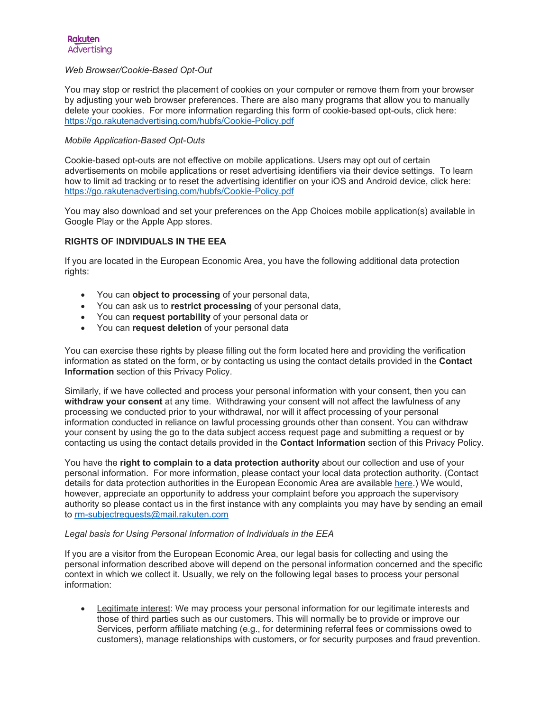### *Web Browser/Cookie-Based Opt-Out*

You may stop or restrict the placement of cookies on your computer or remove them from your browser by adjusting your web browser preferences. There are also many programs that allow you to manually delete your cookies. For more information regarding this form of cookie-based opt-outs, click here: <https://go.rakutenadvertising.com/hubfs/Cookie-Policy.pdf>

### *Mobile Application-Based Opt-Outs*

Cookie-based opt-outs are not effective on mobile applications. Users may opt out of certain advertisements on mobile applications or reset advertising identifiers via their device settings. To learn how to limit ad tracking or to reset the advertising identifier on your iOS and Android device, click here: <https://go.rakutenadvertising.com/hubfs/Cookie-Policy.pdf>

You may also download and set your preferences on the App Choices mobile application(s) available in Google Play or the Apple App stores.

### **RIGHTS OF INDIVIDUALS IN THE EEA**

If you are located in the European Economic Area, you have the following additional data protection rights:

- You can **object to processing** of your personal data,
- You can ask us to **restrict processing** of your personal data,
- You can **request portability** of your personal data or
- You can **request deletion** of your personal data

You can exercise these rights by please filling out the form located here and providing the verification information as stated on the form, or by contacting us using the contact details provided in the **Contact Information** section of this Privacy Policy.

Similarly, if we have collected and process your personal information with your consent, then you can **withdraw your consent** at any time. Withdrawing your consent will not affect the lawfulness of any processing we conducted prior to your withdrawal, nor will it affect processing of your personal information conducted in reliance on lawful processing grounds other than consent. You can withdraw your consent by using the go to the data subject access request page and submitting a request or by contacting us using the contact details provided in the **Contact Information** section of this Privacy Policy.

You have the **right to complain to a data protection authority** about our collection and use of your personal information. For more information, please contact your local data protection authority. (Contact details for data protection authorities in the European Economic Area are available [here.](https://ec.europa.eu/justice/article-29/structure/data-protection-authorities/index_en.htm)) We would, however, appreciate an opportunity to address your complaint before you approach the supervisory authority so please contact us in the first instance with any complaints you may have by sending an email to [rm-subjectrequests@mail.rakuten.com](mailto:rm-subjectrequests@mail.rakuten.com)

#### *Legal basis for Using Personal Information of Individuals in the EEA*

If you are a visitor from the European Economic Area, our legal basis for collecting and using the personal information described above will depend on the personal information concerned and the specific context in which we collect it. Usually, we rely on the following legal bases to process your personal information:

• Legitimate interest: We may process your personal information for our legitimate interests and those of third parties such as our customers. This will normally be to provide or improve our Services, perform affiliate matching (e.g., for determining referral fees or commissions owed to customers), manage relationships with customers, or for security purposes and fraud prevention.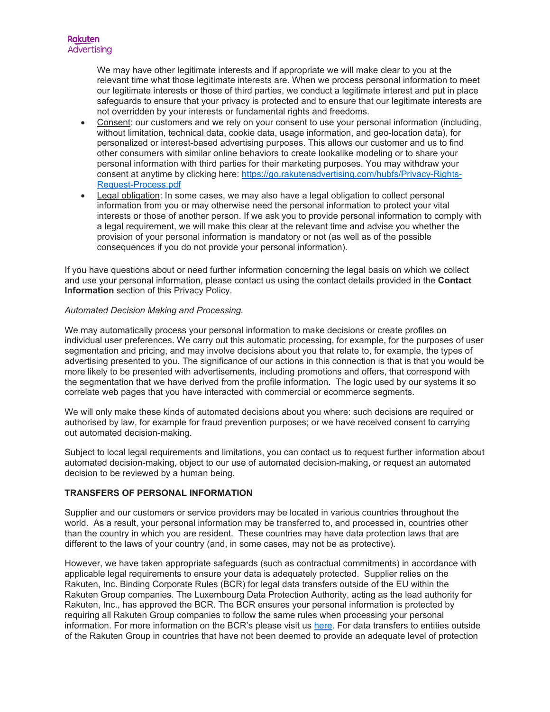We may have other legitimate interests and if appropriate we will make clear to you at the relevant time what those legitimate interests are. When we process personal information to meet our legitimate interests or those of third parties, we conduct a legitimate interest and put in place safeguards to ensure that your privacy is protected and to ensure that our legitimate interests are not overridden by your interests or fundamental rights and freedoms.

- Consent: our customers and we rely on your consent to use your personal information (including, without limitation, technical data, cookie data, usage information, and geo-location data), for personalized or interest-based advertising purposes. This allows our customer and us to find other consumers with similar online behaviors to create lookalike modeling or to share your personal information with third parties for their marketing purposes. You may withdraw your consent at anytime by clicking here: [https://go.rakutenadvertising.com/hubfs/Privacy-Rights-](https://go.rakutenadvertising.com/hubfs/Privacy-Rights-Request-Process.pdf)[Request-Process.pdf](https://go.rakutenadvertising.com/hubfs/Privacy-Rights-Request-Process.pdf)
- Legal obligation: In some cases, we may also have a legal obligation to collect personal information from you or may otherwise need the personal information to protect your vital interests or those of another person. If we ask you to provide personal information to comply with a legal requirement, we will make this clear at the relevant time and advise you whether the provision of your personal information is mandatory or not (as well as of the possible consequences if you do not provide your personal information).

If you have questions about or need further information concerning the legal basis on which we collect and use your personal information, please contact us using the contact details provided in the **Contact Information** section of this Privacy Policy.

### *Automated Decision Making and Processing.*

We may automatically process your personal information to make decisions or create profiles on individual user preferences. We carry out this automatic processing, for example, for the purposes of user segmentation and pricing, and may involve decisions about you that relate to, for example, the types of advertising presented to you. The significance of our actions in this connection is that is that you would be more likely to be presented with advertisements, including promotions and offers, that correspond with the segmentation that we have derived from the profile information. The logic used by our systems it so correlate web pages that you have interacted with commercial or ecommerce segments.

We will only make these kinds of automated decisions about you where: such decisions are required or authorised by law, for example for fraud prevention purposes; or we have received consent to carrying out automated decision-making.

Subject to local legal requirements and limitations, you can contact us to request further information about automated decision-making, object to our use of automated decision-making, or request an automated decision to be reviewed by a human being.

### **TRANSFERS OF PERSONAL INFORMATION**

Supplier and our customers or service providers may be located in various countries throughout the world. As a result, your personal information may be transferred to, and processed in, countries other than the country in which you are resident. These countries may have data protection laws that are different to the laws of your country (and, in some cases, may not be as protective).

However, we have taken appropriate safeguards (such as contractual commitments) in accordance with applicable legal requirements to ensure your data is adequately protected. Supplier relies on the Rakuten, Inc. Binding Corporate Rules (BCR) for legal data transfers outside of the EU within the Rakuten Group companies. The Luxembourg Data Protection Authority, acting as the lead authority for Rakuten, Inc., has approved the BCR. The BCR ensures your personal information is protected by requiring all Rakuten Group companies to follow the same rules when processing your personal information. For more information on the BCR's please visit us [here.](https://corp.rakuten.co.jp/privacy/en/bcr.html) For data transfers to entities outside of the Rakuten Group in countries that have not been deemed to provide an adequate level of protection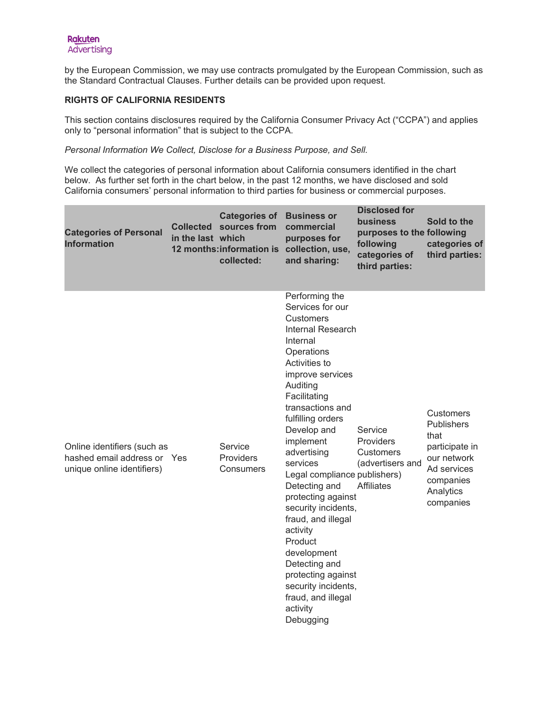by the European Commission, we may use contracts promulgated by the European Commission, such as the Standard Contractual Clauses. Further details can be provided upon request.

# **RIGHTS OF CALIFORNIA RESIDENTS**

This section contains disclosures required by the California Consumer Privacy Act ("CCPA") and applies only to "personal information" that is subject to the CCPA.

*Personal Information We Collect, Disclose for a Business Purpose, and Sell.* 

We collect the categories of personal information about California consumers identified in the chart below. As further set forth in the chart below, in the past 12 months, we have disclosed and sold California consumers' personal information to third parties for business or commercial purposes.

| <b>Categories of Personal</b><br><b>Information</b>                                      | <b>Collected</b><br>in the last which | <b>Categories of</b><br>sources from<br>12 months: information is<br>collected: | <b>Business or</b><br>commercial<br>purposes for<br>collection, use,<br>and sharing:                                                                                                                                                                                                                                                                                                                                                                                                                                                          | <b>Disclosed for</b><br><b>business</b><br>purposes to the following<br>following<br>categories of<br>third parties: | Sold to the<br>categories of<br>third parties:                                                                                       |
|------------------------------------------------------------------------------------------|---------------------------------------|---------------------------------------------------------------------------------|-----------------------------------------------------------------------------------------------------------------------------------------------------------------------------------------------------------------------------------------------------------------------------------------------------------------------------------------------------------------------------------------------------------------------------------------------------------------------------------------------------------------------------------------------|----------------------------------------------------------------------------------------------------------------------|--------------------------------------------------------------------------------------------------------------------------------------|
| Online identifiers (such as<br>hashed email address or Yes<br>unique online identifiers) |                                       | Service<br><b>Providers</b><br>Consumers                                        | Performing the<br>Services for our<br><b>Customers</b><br>Internal Research<br>Internal<br>Operations<br>Activities to<br>improve services<br>Auditing<br>Facilitating<br>transactions and<br>fulfilling orders<br>Develop and<br>implement<br>advertising<br>services<br>Legal compliance publishers)<br>Detecting and<br>protecting against<br>security incidents,<br>fraud, and illegal<br>activity<br>Product<br>development<br>Detecting and<br>protecting against<br>security incidents,<br>fraud, and illegal<br>activity<br>Debugging | Service<br>Providers<br><b>Customers</b><br>(advertisers and<br><b>Affiliates</b>                                    | <b>Customers</b><br><b>Publishers</b><br>that<br>participate in<br>our network<br>Ad services<br>companies<br>Analytics<br>companies |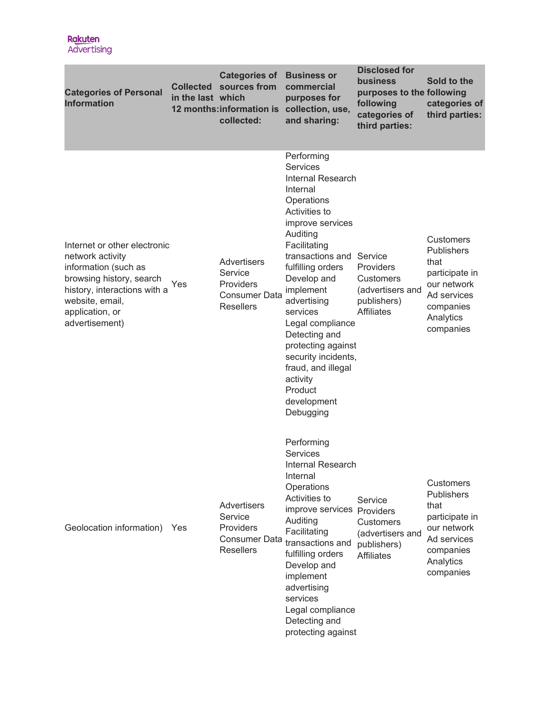| <b>Categories of Personal</b><br><b>Information</b>                                                                                                                                          | <b>Collected</b><br>in the last which | <b>Categories of</b><br>sources from<br>12 months: information is<br>collected:        | <b>Business or</b><br>commercial<br>purposes for<br>collection, use,<br>and sharing:                                                                                                                                                                                                                                                                                                                             | <b>Disclosed for</b><br><b>business</b><br>purposes to the following<br>following<br>categories of<br>third parties: | Sold to the<br>categories of<br>third parties:                                                                                       |
|----------------------------------------------------------------------------------------------------------------------------------------------------------------------------------------------|---------------------------------------|----------------------------------------------------------------------------------------|------------------------------------------------------------------------------------------------------------------------------------------------------------------------------------------------------------------------------------------------------------------------------------------------------------------------------------------------------------------------------------------------------------------|----------------------------------------------------------------------------------------------------------------------|--------------------------------------------------------------------------------------------------------------------------------------|
| Internet or other electronic<br>network activity<br>information (such as<br>browsing history, search<br>history, interactions with a<br>website, email,<br>application, or<br>advertisement) | Yes                                   | <b>Advertisers</b><br>Service<br>Providers<br><b>Consumer Data</b><br><b>Resellers</b> | Performing<br><b>Services</b><br>Internal Research<br>Internal<br>Operations<br>Activities to<br>improve services<br>Auditing<br>Facilitating<br>transactions and Service<br>fulfilling orders<br>Develop and<br>implement<br>advertising<br>services<br>Legal compliance<br>Detecting and<br>protecting against<br>security incidents,<br>fraud, and illegal<br>activity<br>Product<br>development<br>Debugging | Providers<br><b>Customers</b><br>(advertisers and<br>publishers)<br><b>Affiliates</b>                                | <b>Customers</b><br><b>Publishers</b><br>that<br>participate in<br>our network<br>Ad services<br>companies<br>Analytics<br>companies |
| Geolocation information)                                                                                                                                                                     | Yes                                   | <b>Advertisers</b><br>Service<br>Providers<br><b>Consumer Data</b><br><b>Resellers</b> | Performing<br><b>Services</b><br>Internal Research<br>Internal<br>Operations<br>Activities to<br>improve services Providers<br>Auditing<br>Facilitating<br>transactions and<br>fulfilling orders<br>Develop and<br>implement<br>advertising<br>services<br>Legal compliance<br>Detecting and<br>protecting against                                                                                               | Service<br><b>Customers</b><br>(advertisers and<br>publishers)<br><b>Affiliates</b>                                  | Customers<br><b>Publishers</b><br>that<br>participate in<br>our network<br>Ad services<br>companies<br>Analytics<br>companies        |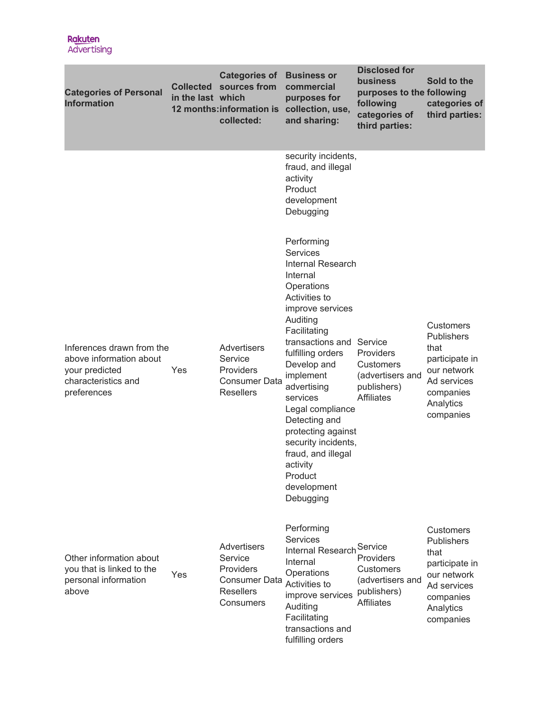| <b>Categories of Personal</b><br><b>Information</b>                                                          | <b>Collected</b><br>in the last which | <b>Categories of</b><br>sources from<br>12 months: information is<br>collected:              | <b>Business or</b><br>commercial<br>purposes for<br>collection, use,<br>and sharing:                                                                                                                                                                                                                                                                                                                             | <b>Disclosed for</b><br>business<br>purposes to the following<br>following<br>categories of<br>third parties: | Sold to the<br>categories of<br>third parties:                                                                                       |
|--------------------------------------------------------------------------------------------------------------|---------------------------------------|----------------------------------------------------------------------------------------------|------------------------------------------------------------------------------------------------------------------------------------------------------------------------------------------------------------------------------------------------------------------------------------------------------------------------------------------------------------------------------------------------------------------|---------------------------------------------------------------------------------------------------------------|--------------------------------------------------------------------------------------------------------------------------------------|
|                                                                                                              |                                       |                                                                                              | security incidents,<br>fraud, and illegal<br>activity<br>Product<br>development<br>Debugging                                                                                                                                                                                                                                                                                                                     |                                                                                                               |                                                                                                                                      |
| Inferences drawn from the<br>above information about<br>your predicted<br>characteristics and<br>preferences | Yes                                   | Advertisers<br>Service<br>Providers<br>Consumer Data<br><b>Resellers</b>                     | Performing<br><b>Services</b><br>Internal Research<br>Internal<br>Operations<br>Activities to<br>improve services<br>Auditing<br>Facilitating<br>transactions and Service<br>fulfilling orders<br>Develop and<br>implement<br>advertising<br>services<br>Legal compliance<br>Detecting and<br>protecting against<br>security incidents,<br>fraud, and illegal<br>activity<br>Product<br>development<br>Debugging | Providers<br><b>Customers</b><br>(advertisers and<br>publishers)<br><b>Affiliates</b>                         | <b>Customers</b><br><b>Publishers</b><br>that<br>participate in<br>our network<br>Ad services<br>companies<br>Analytics<br>companies |
| Other information about<br>you that is linked to the<br>personal information<br>above                        | Yes                                   | Advertisers<br>Service<br>Providers<br>Consumer Data<br><b>Resellers</b><br><b>Consumers</b> | Performing<br><b>Services</b><br>Internal Research Service<br>Internal<br>Operations<br>Activities to<br>improve services<br>Auditing<br>Facilitating<br>transactions and<br>fulfilling orders                                                                                                                                                                                                                   | Providers<br><b>Customers</b><br>(advertisers and<br>publishers)<br><b>Affiliates</b>                         | Customers<br>Publishers<br>that<br>participate in<br>our network<br>Ad services<br>companies<br>Analytics<br>companies               |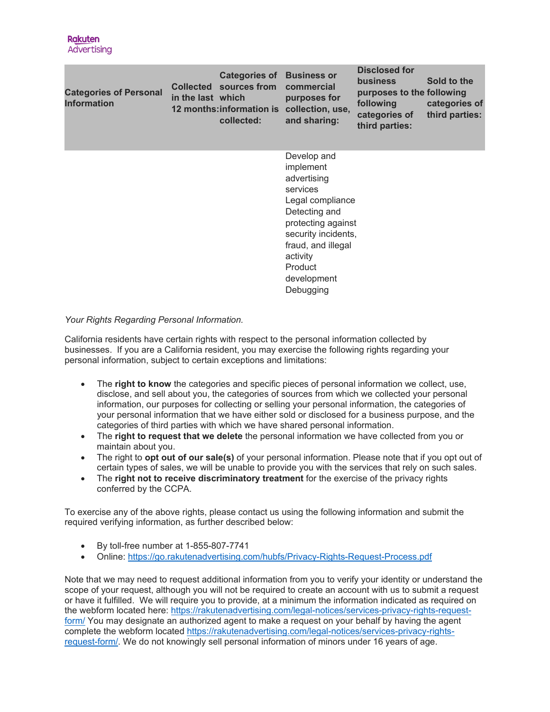| <b>Categories of Personal</b><br><b>Information</b> | in the last which | <b>Categories of</b><br>Collected sources from<br>collected: | <b>Business or</b><br>commercial<br>purposes for<br>12 months: information is collection, use,<br>and sharing:                                                                                                 | <b>Disclosed for</b><br>business<br>purposes to the following<br>following<br>categories of<br>third parties: | Sold to the<br>categories of<br>third parties: |
|-----------------------------------------------------|-------------------|--------------------------------------------------------------|----------------------------------------------------------------------------------------------------------------------------------------------------------------------------------------------------------------|---------------------------------------------------------------------------------------------------------------|------------------------------------------------|
|                                                     |                   |                                                              | Develop and<br>implement<br>advertising<br>services<br>Legal compliance<br>Detecting and<br>protecting against<br>security incidents,<br>fraud, and illegal<br>activity<br>Product<br>development<br>Debugging |                                                                                                               |                                                |

# *Your Rights Regarding Personal Information.*

California residents have certain rights with respect to the personal information collected by businesses. If you are a California resident, you may exercise the following rights regarding your personal information, subject to certain exceptions and limitations:

- The **right to know** the categories and specific pieces of personal information we collect, use, disclose, and sell about you, the categories of sources from which we collected your personal information, our purposes for collecting or selling your personal information, the categories of your personal information that we have either sold or disclosed for a business purpose, and the categories of third parties with which we have shared personal information.
- The **right to request that we delete** the personal information we have collected from you or maintain about you.
- The right to **opt out of our sale(s)** of your personal information. Please note that if you opt out of certain types of sales, we will be unable to provide you with the services that rely on such sales.
- The **right not to receive discriminatory treatment** for the exercise of the privacy rights conferred by the CCPA.

To exercise any of the above rights, please contact us using the following information and submit the required verifying information, as further described below:

- By toll-free number at 1-855-807-7741
- Online:<https://go.rakutenadvertising.com/hubfs/Privacy-Rights-Request-Process.pdf>

Note that we may need to request additional information from you to verify your identity or understand the scope of your request, although you will not be required to create an account with us to submit a request or have it fulfilled. We will require you to provide, at a minimum the information indicated as required on the webform located here: [https://rakutenadvertising.com/legal-notices/services-privacy-rights-request](https://rakutenadvertising.com/legal-notices/services-privacy-rights-request-form/)[form/](https://rakutenadvertising.com/legal-notices/services-privacy-rights-request-form/) You may designate an authorized agent to make a request on your behalf by having the agent complete the webform located [https://rakutenadvertising.com/legal-notices/services-privacy-rights](https://rakutenadvertising.com/legal-notices/services-privacy-rights-request-form/)[request-form/.](https://rakutenadvertising.com/legal-notices/services-privacy-rights-request-form/) We do not knowingly sell personal information of minors under 16 years of age.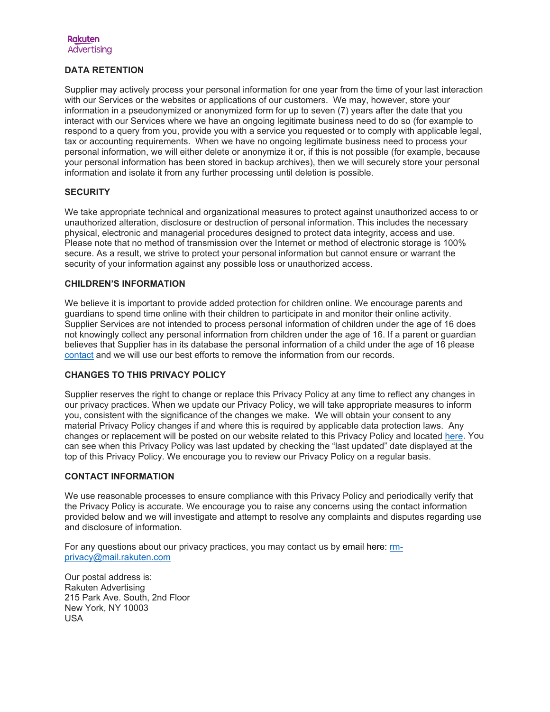## **DATA RETENTION**

Supplier may actively process your personal information for one year from the time of your last interaction with our Services or the websites or applications of our customers. We may, however, store your information in a pseudonymized or anonymized form for up to seven (7) years after the date that you interact with our Services where we have an ongoing legitimate business need to do so (for example to respond to a query from you, provide you with a service you requested or to comply with applicable legal, tax or accounting requirements. When we have no ongoing legitimate business need to process your personal information, we will either delete or anonymize it or, if this is not possible (for example, because your personal information has been stored in backup archives), then we will securely store your personal information and isolate it from any further processing until deletion is possible.

### **SECURITY**

We take appropriate technical and organizational measures to protect against unauthorized access to or unauthorized alteration, disclosure or destruction of personal information. This includes the necessary physical, electronic and managerial procedures designed to protect data integrity, access and use. Please note that no method of transmission over the Internet or method of electronic storage is 100% secure. As a result, we strive to protect your personal information but cannot ensure or warrant the security of your information against any possible loss or unauthorized access.

### **CHILDREN'S INFORMATION**

We believe it is important to provide added protection for children online. We encourage parents and guardians to spend time online with their children to participate in and monitor their online activity. Supplier Services are not intended to process personal information of children under the age of 16 does not knowingly collect any personal information from children under the age of 16. If a parent or guardian believes that Supplier has in its database the personal information of a child under the age of 16 please [contact](mailto:rm-privacy@mail.rakuten.com) and we will use our best efforts to remove the information from our records.

### **CHANGES TO THIS PRIVACY POLICY**

Supplier reserves the right to change or replace this Privacy Policy at any time to reflect any changes in our privacy practices. When we update our Privacy Policy, we will take appropriate measures to inform you, consistent with the significance of the changes we make. We will obtain your consent to any material Privacy Policy changes if and where this is required by applicable data protection laws. Any changes or replacement will be posted on our website related to this Privacy Policy and located [here.](https://rakutenadvertising.com/legal-notices/website-privacy-policy/) You can see when this Privacy Policy was last updated by checking the "last updated" date displayed at the top of this Privacy Policy. We encourage you to review our Privacy Policy on a regular basis.

### **CONTACT INFORMATION**

We use reasonable processes to ensure compliance with this Privacy Policy and periodically verify that the Privacy Policy is accurate. We encourage you to raise any concerns using the contact information provided below and we will investigate and attempt to resolve any complaints and disputes regarding use and disclosure of information.

For any questions about our privacy practices, you may contact us by email here: [rm](mailto:rm-privacy@mail.rakuten.com)[privacy@mail.rakuten.com](mailto:rm-privacy@mail.rakuten.com)

Our postal address is: Rakuten Advertising 215 Park Ave. South, 2nd Floor New York, NY 10003 USA